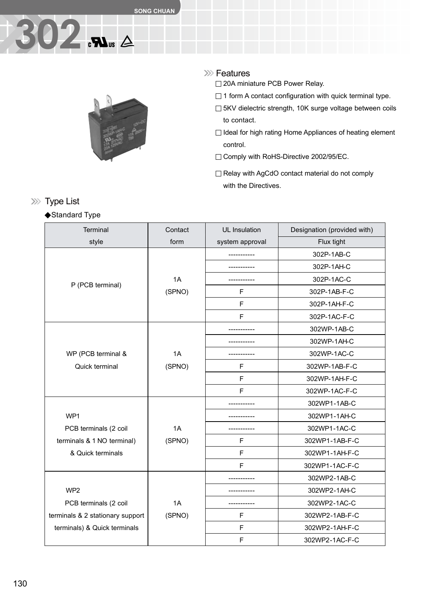## **302**



#### **XXX** Features

□ 20A miniature PCB Power Relay.

- $\Box$  1 form A contact configuration with quick terminal type.
- □ 5KV dielectric strength, 10K surge voltage between coils to contact.
- $\Box$  Ideal for high rating Home Appliances of heating element control.
- □ Comply with RoHS-Directive 2002/95/EC.
- □ Relay with AgCdO contact material do not comply with the Directives.

## Terminal Contact UL Insulation Designation (provided with) style **form** system approval style Flux tight ----------- 302P-1AB-C ----------- 302P-1AH-C 1A | ------------ | 302P-1AC-C P (PCB terminal) (SPNO) F F 302P-1AB-F-C F 302P-1AH-F-C F 302P-1AC-F-C ----------- 302WP-1AB-C ----------- 302WP-1AH-C WP (PCB terminal & 1A ----------- 302WP-1AC-C Quick terminal  $(SPNO)$  | F | 302WP-1AB-F-C F 302WP-1AH-F-C F 302WP-1AC-F-C 302WP1-1AB-C WP1 ----------- 302WP1-1AH-C PCB terminals (2 coil 1A  $\parallel$  ----------- | 302WP1-1AC-C terminals & 1 NO terminal) (SPNO) F 302WP1-1AB-F-C & Quick terminals F 302WP1-1AH-F-C F 302WP1-1AC-F-C ----------- 302WP2-1AB-C WP2 ----------- 302WP2-1AH-C PCB terminals (2 coil 1A 1A ------------ 1 302WP2-1AC-C terminals & 2 stationary support (SPNO) F 302WP2-1AB-F-C terminals) & Quick terminals |  $\vert$  F | 302WP2-1AH-F-C F 302WP2-1AC-F-C

#### **XXX** Type List

#### ◆Standard Type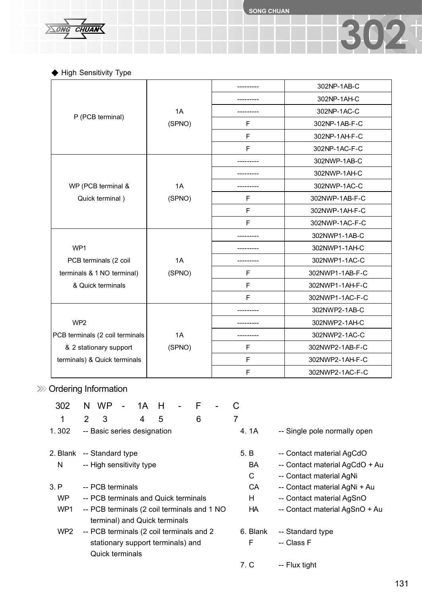**SONG CHUAN**

**302**

 $\overline{CHUAN}$  $\sum$ ONG

◆ High Sensitivity Type

|                                 |        |   | 302NP-1AB-C     |
|---------------------------------|--------|---|-----------------|
|                                 |        |   | 302NP-1AH-C     |
|                                 | 1A     |   | 302NP-1AC-C     |
| P (PCB terminal)                | (SPNO) | F | 302NP-1AB-F-C   |
|                                 |        | F | 302NP-1AH-F-C   |
|                                 |        | F | 302NP-1AC-F-C   |
|                                 |        |   | 302NWP-1AB-C    |
|                                 |        |   | 302NWP-1AH-C    |
| WP (PCB terminal &              | 1A     |   | 302NWP-1AC-C    |
| Quick terminal)                 | (SPNO) | F | 302NWP-1AB-F-C  |
|                                 |        | F | 302NWP-1AH-F-C  |
|                                 |        | F | 302NWP-1AC-F-C  |
|                                 |        |   | 302NWP1-1AB-C   |
| WP1                             |        |   | 302NWP1-1AH-C   |
| PCB terminals (2 coil           | 1A     |   | 302NWP1-1AC-C   |
| terminals & 1 NO terminal)      | (SPNO) | F | 302NWP1-1AB-F-C |
| & Quick terminals               |        | F | 302NWP1-1AH-F-C |
|                                 |        | F | 302NWP1-1AC-F-C |
|                                 |        |   | 302NWP2-1AB-C   |
| WP <sub>2</sub>                 |        |   | 302NWP2-1AH-C   |
| PCB terminals (2 coil terminals | 1A     |   | 302NWP2-1AC-C   |
| & 2 stationary support          | (SPNO) | F | 302NWP2-1AB-F-C |
| terminals) & Quick terminals    |        | F | 302NWP2-1AH-F-C |
|                                 |        | F | 302NWP2-1AC-F-C |

## >>>> Ordering Information

| 302       | N.                                                                           | <b>WP</b>                   | $\blacksquare$ | 1A | н |  | F |    |                                |                           |                                |
|-----------|------------------------------------------------------------------------------|-----------------------------|----------------|----|---|--|---|----|--------------------------------|---------------------------|--------------------------------|
| 1         | $\overline{2}$                                                               | 3                           |                | 4  | 5 |  | 6 |    | 7                              |                           |                                |
| 1.302     |                                                                              | -- Basic series designation |                |    |   |  |   |    |                                | 4. 1A                     | -- Single pole normally open   |
| 2. Blank  |                                                                              | -- Standard type            |                |    |   |  |   |    |                                | 5. B                      | -- Contact material AgCdO      |
| N         |                                                                              | -- High sensitivity type    |                |    |   |  |   |    |                                | BA                        | -- Contact material AgCdO + Au |
|           |                                                                              |                             |                |    |   |  |   |    |                                | C                         | -- Contact material AgNi       |
| 3. P      |                                                                              | -- PCB terminals            |                |    |   |  |   |    |                                | CA                        | -- Contact material AgNi + Au  |
| <b>WP</b> | -- PCB terminals and Quick terminals                                         |                             |                |    |   |  |   |    | H                              | -- Contact material AgSnO |                                |
| WP1       | -- PCB terminals (2 coil terminals and 1 NO<br>terminal) and Quick terminals |                             |                |    |   |  |   | HA | -- Contact material AgSnO + Au |                           |                                |
| WP2       | -- PCB terminals (2 coil terminals and 2                                     |                             |                |    |   |  |   |    | 6. Blank                       | -- Standard type          |                                |
|           | stationary support terminals) and                                            |                             |                |    |   |  |   |    | F                              | -- Class F                |                                |
|           | <b>Quick terminals</b>                                                       |                             |                |    |   |  |   |    |                                |                           |                                |
|           |                                                                              |                             |                |    |   |  |   |    |                                | 7. C                      | -- Flux tight                  |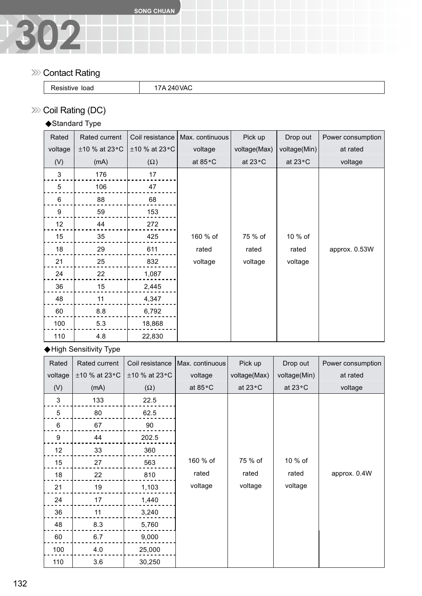

#### **XXX** Contact Rating

| load | 1111 |  |
|------|------|--|
| .    |      |  |

### >>> Coil Rating (DC)

### ◆Standard Type

| Rated          | Rated current       | Coil resistance     | Max. continuous | Pick up      | Drop out     | Power consumption |
|----------------|---------------------|---------------------|-----------------|--------------|--------------|-------------------|
| voltage        | $\pm$ 10 % at 23 °C | $\pm$ 10 % at 23 °C | voltage         | voltage(Max) | voltage(Min) | at rated          |
| (V)            | (mA)                | $(\Omega)$          | at 85°C         | at 23°C      | at 23°C      | voltage           |
| $\mathbf 3$    | 176                 | 17                  |                 |              |              |                   |
| 5              | 106                 | 47                  |                 |              |              |                   |
| $6\phantom{1}$ | 88                  | 68                  |                 |              |              |                   |
| 9              | 59                  | 153                 |                 |              |              |                   |
| 12             | 44                  | 272                 |                 |              |              |                   |
| 15             | 35                  | 425                 | 160 % of        | 75 % of      | 10 % of      |                   |
| 18             | 29                  | 611                 | rated           | rated        | rated        | approx. 0.53W     |
| 21             | 25                  | 832                 | voltage         | voltage      | voltage      |                   |
| 24             | 22                  | 1,087               |                 |              |              |                   |
| 36             | 15                  | 2,445               |                 |              |              |                   |
| 48             | 11                  | 4,347               |                 |              |              |                   |
| 60             | 8.8                 | 6,792               |                 |              |              |                   |
| 100            | 5.3                 | 18,868              |                 |              |              |                   |
| 110            | 4.8                 | 22,830              |                 |              |              |                   |

◆High Sensitivity Type

| Rated            | Rated current  | Coil resistance | Max. continuous | Pick up      | Drop out     | Power consumption |
|------------------|----------------|-----------------|-----------------|--------------|--------------|-------------------|
| voltage          | ±10 % at 23 °C | ±10 % at 23 °C  | voltage         | voltage(Max) | voltage(Min) | at rated          |
| (V)              | (mA)           | $(\Omega)$      | at 85°C         | at 23°C      | at 23°C      | voltage           |
| 3                | 133            | 22.5            |                 |              |              |                   |
| 5                | 80             | 62.5            |                 |              |              |                   |
| $\,6$            | 67             | 90              |                 |              |              |                   |
| $\boldsymbol{9}$ | 44             | 202.5           |                 |              |              |                   |
| 12               | 33             | 360             |                 |              |              |                   |
| 15               | 27             | 563             | 160 % of        | 75 % of      | 10 % of      |                   |
| 18               | 22             | 810             | rated           | rated        | rated        | approx. 0.4W      |
| 21               | 19             | 1,103           | voltage         | voltage      | voltage      |                   |
| 24               | 17             | 1,440           |                 |              |              |                   |
| 36               | 11             | 3,240           |                 |              |              |                   |
| 48               | 8.3            | 5,760           |                 |              |              |                   |
| 60               | 6.7            | 9,000           |                 |              |              |                   |
| 100              | 4.0            | 25,000          |                 |              |              |                   |
| 110              | 3.6            | 30,250          |                 |              |              |                   |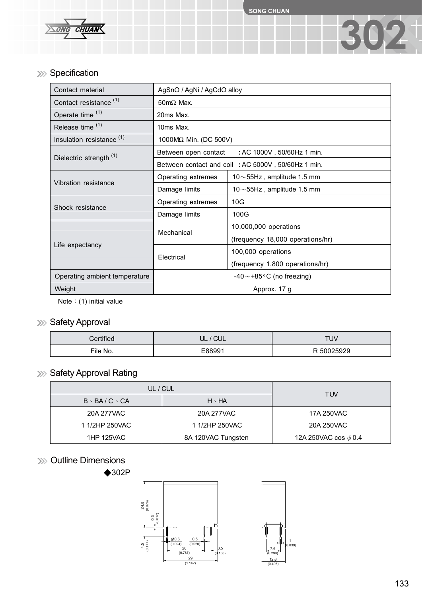

#### >>> Specification

| Contact material                     | AgSnO / AgNi / AgCdO alloy                         |                                     |  |  |  |
|--------------------------------------|----------------------------------------------------|-------------------------------------|--|--|--|
| Contact resistance <sup>(1)</sup>    | $50 \text{m}\Omega$ Max.                           |                                     |  |  |  |
| Operate time (1)                     | 20ms Max.                                          |                                     |  |  |  |
| Release time <sup>(1)</sup>          | 10ms Max.                                          |                                     |  |  |  |
| Insulation resistance <sup>(1)</sup> | 1000MΩ Min. (DC 500V)                              |                                     |  |  |  |
| Dielectric strength <sup>(1)</sup>   | Between open contact : AC 1000V, 50/60Hz 1 min.    |                                     |  |  |  |
|                                      | Between contact and coil: AC 5000V, 50/60Hz 1 min. |                                     |  |  |  |
| Vibration resistance                 | Operating extremes                                 | $10\!\sim\!55$ Hz, amplitude 1.5 mm |  |  |  |
|                                      | Damage limits                                      | $10\!\sim\!55$ Hz, amplitude 1.5 mm |  |  |  |
| Shock resistance                     | Operating extremes                                 | 10G                                 |  |  |  |
|                                      | Damage limits                                      | 100G                                |  |  |  |
|                                      | Mechanical                                         | 10,000,000 operations               |  |  |  |
|                                      |                                                    | (frequency 18,000 operations/hr)    |  |  |  |
| Life expectancy                      | Electrical                                         | 100,000 operations                  |  |  |  |
|                                      |                                                    | (frequency 1,800 operations/hr)     |  |  |  |
| Operating ambient temperature        | $-40 \sim +85$ °C (no freezing)                    |                                     |  |  |  |
| Weight                               | Approx. 17 g                                       |                                     |  |  |  |

Note: (1) initial value

#### >>> Safety Approval

| Certified | ' CUL<br>NUL. | TUV        |
|-----------|---------------|------------|
| File No.  | E88991        | R 50025929 |

## >>>> Safety Approval Rating

| UL / CUL                | <b>TUV</b>         |                           |  |
|-------------------------|--------------------|---------------------------|--|
| $B \cdot BA/C \cdot CA$ | $H \cdot HA$       |                           |  |
| 20A 277VAC              | 20A 277VAC         | 17A 250VAC                |  |
| 1 1/2HP 250VAC          | 1 1/2HP 250VAC     | 20A 250VAC                |  |
| <b>1HP 125VAC</b>       | 8A 120VAC Tungsten | 12A 250VAC cos $\phi$ 0.4 |  |

#### >>>> Outline Dimensions



**302**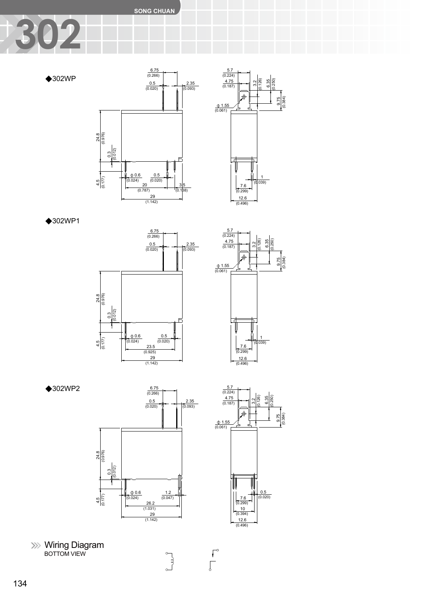**SONG CHUAN**

# **302**

◆302WP





◆302WP1





◆302WP2





 $\int_{0}^{\infty}$ 

 $\begin{bmatrix} 0 \\ 0 \\ 0 \end{bmatrix}$ 

Wiring Diagram BOTTOM VIEW